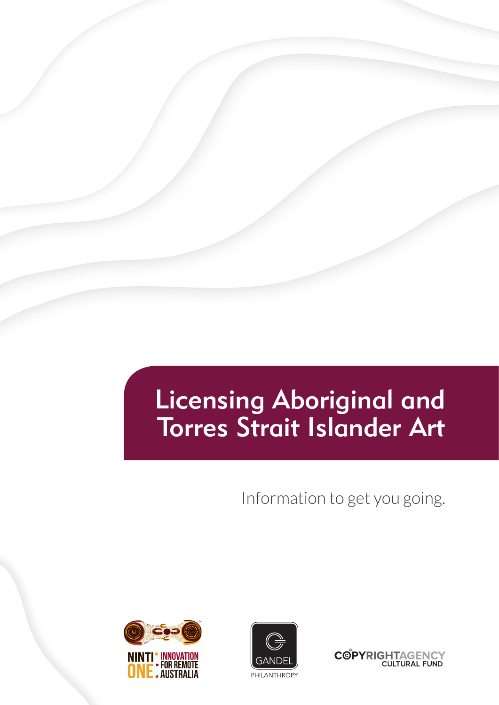# Licensing Aboriginal and Torres Strait Islander Art

Information to get you going.





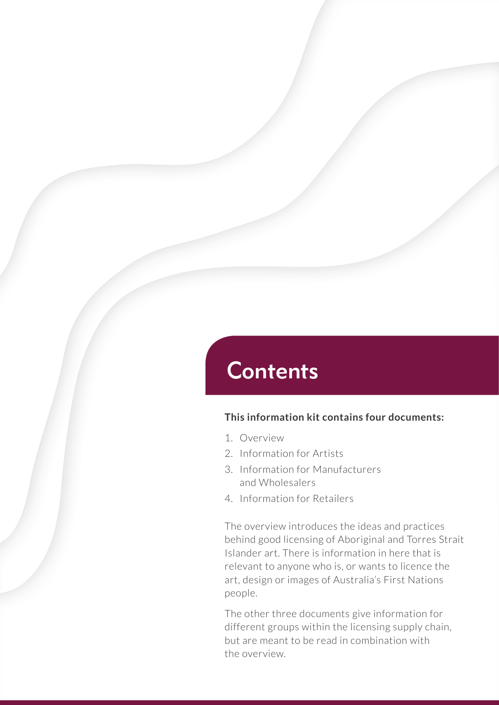## **Contents**

#### **This information kit contains four documents:**

- 1. Overview
- 2. Information for Artists
- 3. Information for Manufacturers and Wholesalers
- 4. Information for Retailers

The overview introduces the ideas and practices behind good licensing of Aboriginal and Torres Strait Islander art. There is information in here that is relevant to anyone who is, or wants to licence the art, design or images of Australia's First Nations people.

The other three documents give information for different groups within the licensing supply chain, but are meant to be read in combination with the overview.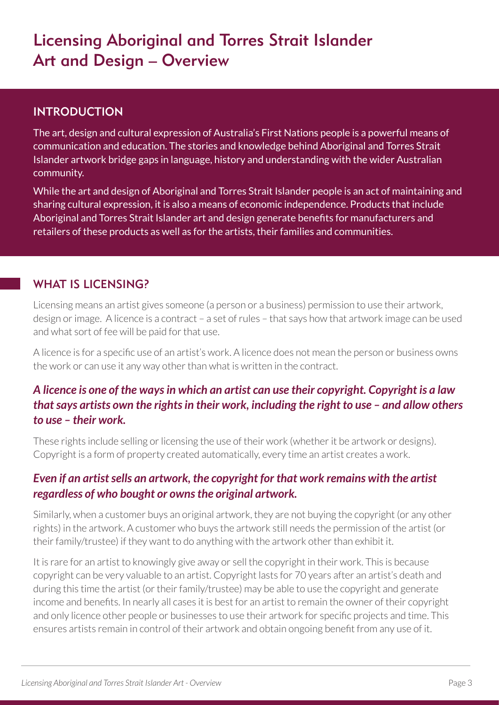## Licensing Aboriginal and Torres Strait Islander Art and Design – Overview

### INTRODUCTION

The art, design and cultural expression of Australia's First Nations people is a powerful means of communication and education. The stories and knowledge behind Aboriginal and Torres Strait Islander artwork bridge gaps in language, history and understanding with the wider Australian community.

While the art and design of Aboriginal and Torres Strait Islander people is an act of maintaining and sharing cultural expression, it is also a means of economic independence. Products that include Aboriginal and Torres Strait Islander art and design generate benefits for manufacturers and retailers of these products as well as for the artists, their families and communities.

### WHAT IS LICENSING?

Licensing means an artist gives someone (a person or a business) permission to use their artwork, design or image. A licence is a contract – a set of rules – that says how that artwork image can be used and what sort of fee will be paid for that use.

A licence is for a specific use of an artist's work. A licence does not mean the person or business owns the work or can use it any way other than what is written in the contract.

## *A licence is one of the ways in which an artist can use their copyright. Copyright is a law that says artists own the rights in their work, including the right to use – and allow others to use – their work.*

These rights include selling or licensing the use of their work (whether it be artwork or designs). Copyright is a form of property created automatically, every time an artist creates a work.

## *Even if an artist sells an artwork, the copyright for that work remains with the artist regardless of who bought or owns the original artwork.*

Similarly, when a customer buys an original artwork, they are not buying the copyright (or any other rights) in the artwork. A customer who buys the artwork still needs the permission of the artist (or their family/trustee) if they want to do anything with the artwork other than exhibit it.

It is rare for an artist to knowingly give away or sell the copyright in their work. This is because copyright can be very valuable to an artist. Copyright lasts for 70 years after an artist's death and during this time the artist (or their family/trustee) may be able to use the copyright and generate income and benefits. In nearly all cases it is best for an artist to remain the owner of their copyright and only licence other people or businesses to use their artwork for specific projects and time. This ensures artists remain in control of their artwork and obtain ongoing benefit from any use of it.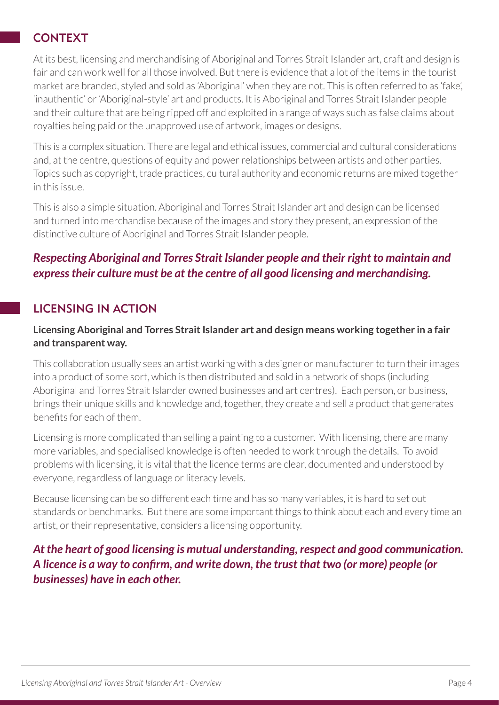## **CONTEXT**

At its best, licensing and merchandising of Aboriginal and Torres Strait Islander art, craft and design is fair and can work well for all those involved. But there is evidence that a lot of the items in the tourist market are branded, styled and sold as 'Aboriginal' when they are not. This is often referred to as 'fake', 'inauthentic' or 'Aboriginal-style' art and products. It is Aboriginal and Torres Strait Islander people and their culture that are being ripped off and exploited in a range of ways such as false claims about royalties being paid or the unapproved use of artwork, images or designs.

This is a complex situation. There are legal and ethical issues, commercial and cultural considerations and, at the centre, questions of equity and power relationships between artists and other parties. Topics such as copyright, trade practices, cultural authority and economic returns are mixed together in this issue.

This is also a simple situation. Aboriginal and Torres Strait Islander art and design can be licensed and turned into merchandise because of the images and story they present, an expression of the distinctive culture of Aboriginal and Torres Strait Islander people.

## *Respecting Aboriginal and Torres Strait Islander people and their right to maintain and express their culture must be at the centre of all good licensing and merchandising.*

## LICENSING IN ACTION

#### **Licensing Aboriginal and Torres Strait Islander art and design means working together in a fair and transparent way.**

This collaboration usually sees an artist working with a designer or manufacturer to turn their images into a product of some sort, which is then distributed and sold in a network of shops (including Aboriginal and Torres Strait Islander owned businesses and art centres). Each person, or business, brings their unique skills and knowledge and, together, they create and sell a product that generates benefits for each of them.

Licensing is more complicated than selling a painting to a customer. With licensing, there are many more variables, and specialised knowledge is often needed to work through the details. To avoid problems with licensing, it is vital that the licence terms are clear, documented and understood by everyone, regardless of language or literacy levels.

Because licensing can be so different each time and has so many variables, it is hard to set out standards or benchmarks. But there are some important things to think about each and every time an artist, or their representative, considers a licensing opportunity.

*At the heart of good licensing is mutual understanding, respect and good communication. A licence is a way to confirm, and write down, the trust that two (or more) people (or businesses) have in each other.*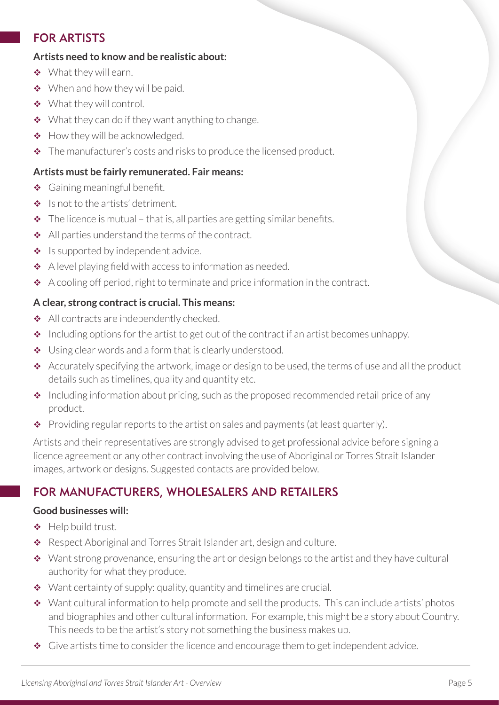## FOR ARTISTS

#### **Artists need to know and be realistic about:**

- What they will earn.
- ◆ When and how they will be paid.
- ◆ What they will control.
- $\bullet\quad$  What they can do if they want anything to change.
- $\div$  How they will be acknowledged.
- $\triangle$  The manufacturer's costs and risks to produce the licensed product.

#### **Artists must be fairly remunerated. Fair means:**

- ◆ Gaining meaningful benefit.
- $\triangleq$  Is not to the artists' detriment.
- $\cdot \cdot$  The licence is mutual that is, all parties are getting similar benefits.
- All parties understand the terms of the contract.
- $\bullet$  Is supported by independent advice.
- $\triangle$  A level playing field with access to information as needed.
- \* A cooling off period, right to terminate and price information in the contract.

#### **A clear, strong contract is crucial. This means:**

- All contracts are independently checked.
- $\cdot$  Including options for the artist to get out of the contract if an artist becomes unhappy.
- ◆ Using clear words and a form that is clearly understood.
- $\triangleq$  Accurately specifying the artwork, image or design to be used, the terms of use and all the product details such as timelines, quality and quantity etc.
- $\cdot$  Including information about pricing, such as the proposed recommended retail price of any product.
- ◆ Providing regular reports to the artist on sales and payments (at least quarterly).

Artists and their representatives are strongly advised to get professional advice before signing a licence agreement or any other contract involving the use of Aboriginal or Torres Strait Islander images, artwork or designs. Suggested contacts are provided below.

## FOR MANUFACTURERS, WHOLESALERS AND RETAILERS

#### **Good businesses will:**

- $\triangleleft$  Help build trust.
- \* Respect Aboriginal and Torres Strait Islander art, design and culture.
- Want strong provenance, ensuring the art or design belongs to the artist and they have cultural authority for what they produce.
- $\bullet$  Want certainty of supply: quality, quantity and timelines are crucial.
- Want cultural information to help promote and sell the products. This can include artists' photos and biographies and other cultural information. For example, this might be a story about Country. This needs to be the artist's story not something the business makes up.
- $\bullet$  Give artists time to consider the licence and encourage them to get independent advice.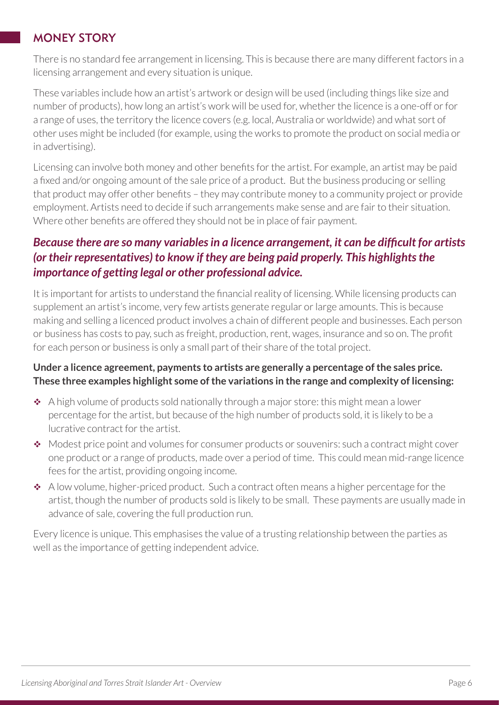## MONEY STORY

There is no standard fee arrangement in licensing. This is because there are many different factors in a licensing arrangement and every situation is unique.

These variables include how an artist's artwork or design will be used (including things like size and number of products), how long an artist's work will be used for, whether the licence is a one-off or for a range of uses, the territory the licence covers (e.g. local, Australia or worldwide) and what sort of other uses might be included (for example, using the works to promote the product on social media or in advertising).

Licensing can involve both money and other benefits for the artist. For example, an artist may be paid a fixed and/or ongoing amount of the sale price of a product. But the business producing or selling that product may offer other benefits – they may contribute money to a community project or provide employment. Artists need to decide if such arrangements make sense and are fair to their situation. Where other benefits are offered they should not be in place of fair payment.

## *Because there are so many variables in a licence arrangement, it can be difficult for artists (or their representatives) to know if they are being paid properly. This highlights the importance of getting legal or other professional advice.*

It is important for artists to understand the financial reality of licensing. While licensing products can supplement an artist's income, very few artists generate regular or large amounts. This is because making and selling a licenced product involves a chain of different people and businesses. Each person or business has costs to pay, such as freight, production, rent, wages, insurance and so on. The profit for each person or business is only a small part of their share of the total project.

#### **Under a licence agreement, payments to artists are generally a percentage of the sales price. These three examples highlight some of the variations in the range and complexity of licensing:**

- \* A high volume of products sold nationally through a major store: this might mean a lower percentage for the artist, but because of the high number of products sold, it is likely to be a lucrative contract for the artist.
- Modest price point and volumes for consumer products or souvenirs: such a contract might cover one product or a range of products, made over a period of time. This could mean mid-range licence fees for the artist, providing ongoing income.
- $\triangleleft$  A low volume, higher-priced product. Such a contract often means a higher percentage for the artist, though the number of products sold is likely to be small. These payments are usually made in advance of sale, covering the full production run.

Every licence is unique. This emphasises the value of a trusting relationship between the parties as well as the importance of getting independent advice.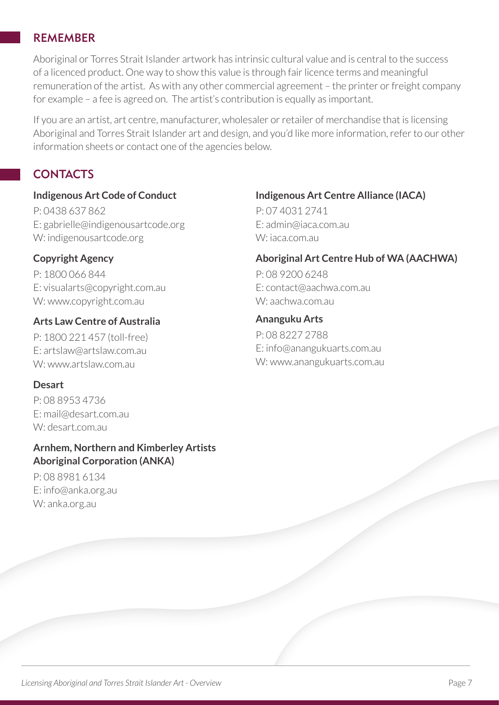#### REMEMBER

Aboriginal or Torres Strait Islander artwork has intrinsic cultural value and is central to the success of a licenced product. One way to show this value is through fair licence terms and meaningful remuneration of the artist. As with any other commercial agreement – the printer or freight company for example – a fee is agreed on. The artist's contribution is equally as important.

If you are an artist, art centre, manufacturer, wholesaler or retailer of merchandise that is licensing Aboriginal and Torres Strait Islander art and design, and you'd like more information, refer to our other information sheets or contact one of the agencies below.

## **CONTACTS**

#### **Indigenous Art Code of Conduct**

P: 0438 637 862 E: gabrielle@indigenousartcode.org W: indigenousartcode.org

#### **Copyright Agency**

P: 1800 066 844 E: visualarts@copyright.com.au W: www.copyright.com.au

#### **Arts Law Centre of Australia**

P: 1800 221 457 (toll-free) E: artslaw@artslaw.com.au W: www.artslaw.com.au

#### **Desart**

P: 08 8953 4736 E: mail@desart.com.au W: desart.com.au

#### **Arnhem, Northern and Kimberley Artists Aboriginal Corporation (ANKA)**

P: 08 8981 6134 E: info@anka.org.au W: anka.org.au

#### **Indigenous Art Centre Alliance (IACA)**

P: 07 4031 2741 E: admin@iaca.com.au W: iaca.com.au

#### **Aboriginal Art Centre Hub of WA (AACHWA)**

P: 08 9200 6248 E: contact@aachwa.com.au W: aachwa.com.au

#### **Ananguku Arts**

P: 08 8227 2788 E: info@anangukuarts.com.au W: www.anangukuarts.com.au